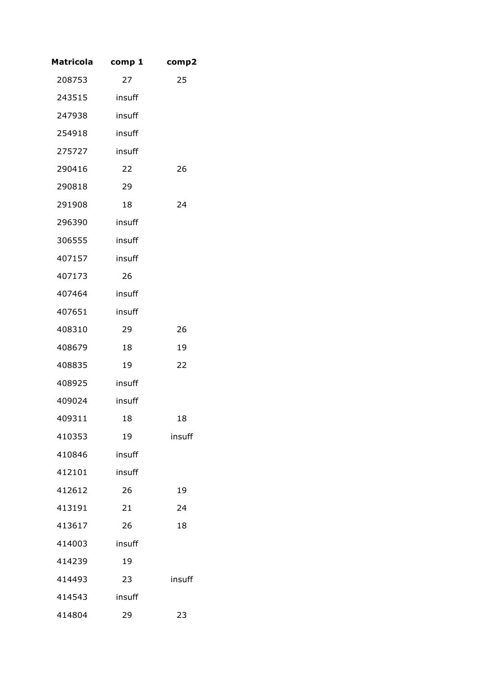| <b>Matricola</b> | comp 1 | comp2  |
|------------------|--------|--------|
| 208753           | 27     | 25     |
| 243515           | insuff |        |
| 247938           | insuff |        |
| 254918           | insuff |        |
| 275727           | insuff |        |
| 290416           | 22     | 26     |
| 290818           | 29     |        |
| 291908           | 18     | 24     |
| 296390           | insuff |        |
| 306555           | insuff |        |
| 407157           | insuff |        |
| 407173           | 26     |        |
| 407464           | insuff |        |
| 407651           | insuff |        |
| 408310           | 29     | 26     |
| 408679           | 18     | 19     |
| 408835           | 19     | 22     |
| 408925           | insuff |        |
| 409024           | insuff |        |
| 409311           | 18     | 18     |
| 410353           | 19     | insuff |
| 410846           | insuff |        |
| 412101           | insuff |        |
| 412612           | 26     | 19     |
| 413191           | 21     | 24     |
| 413617           | 26     | 18     |
| 414003           | insuff |        |
| 414239           | 19     |        |
| 414493           | 23     | insuff |
| 414543           | insuff |        |
| 414804           | 29     | 23     |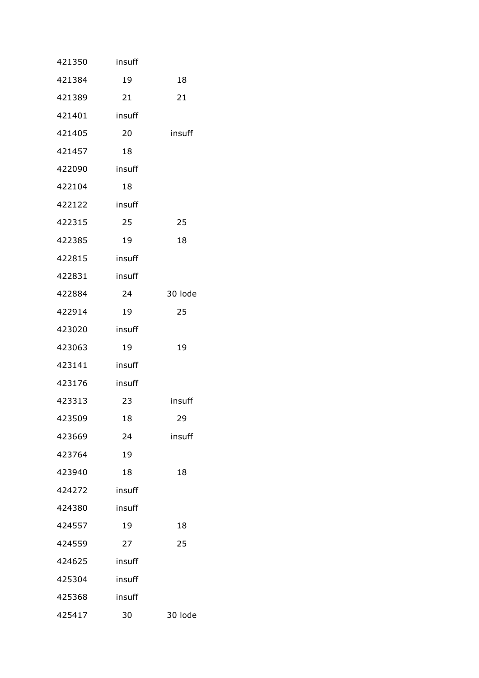| 421350 | insuff |         |
|--------|--------|---------|
| 421384 | 19     | 18      |
| 421389 | 21     | 21      |
| 421401 | insuff |         |
| 421405 | 20     | insuff  |
| 421457 | 18     |         |
| 422090 | insuff |         |
| 422104 | 18     |         |
| 422122 | insuff |         |
| 422315 | 25     | 25      |
| 422385 | 19     | 18      |
| 422815 | insuff |         |
| 422831 | insuff |         |
| 422884 | 24     | 30 lode |
| 422914 | 19     | 25      |
| 423020 | insuff |         |
| 423063 | 19     | 19      |
| 423141 | insuff |         |
| 423176 | insuff |         |
| 423313 | 23     | insuff  |
| 423509 | 18     | 29      |
| 423669 | 24     | insuff  |
| 423764 | 19     |         |
| 423940 | 18     | 18      |
| 424272 | insuff |         |
| 424380 | insuff |         |
| 424557 | 19     | 18      |
| 424559 | 27     | 25      |
| 424625 | insuff |         |
| 425304 | insuff |         |
| 425368 | insuff |         |
| 425417 | 30     | 30 lode |